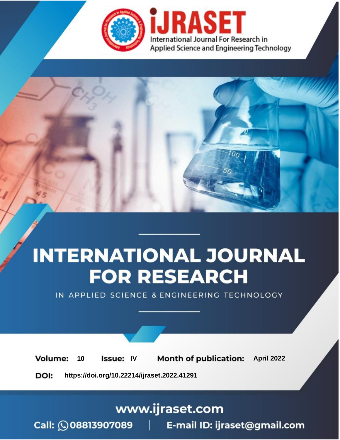

# **INTERNATIONAL JOURNAL FOR RESEARCH**

IN APPLIED SCIENCE & ENGINEERING TECHNOLOGY

Volume: 10 **Issue: IV Month of publication:** April 2022

**https://doi.org/10.22214/ijraset.2022.41291**DOI:

www.ijraset.com

Call: 008813907089 | E-mail ID: ijraset@gmail.com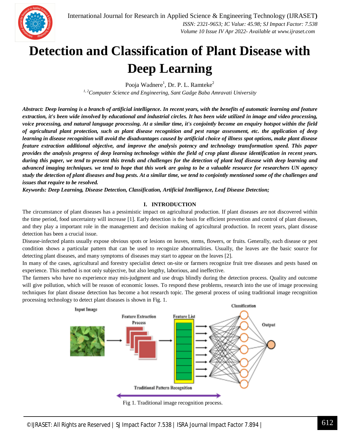

### **Detection and Classification of Plant Disease with Deep Learning**

Pooja Wadnere<sup>1</sup>, Dr. P. L. Ramteke<sup>2</sup> *1, 2Computer Science and Engineering, Sant Gadge Baba Amravati University*

*Abstract: Deep learning is a branch of artificial intelligence. In recent years, with the benefits of automatic learning and feature extraction, it's been wide involved by educational and industrial circles. It has been wide utilized in image and video processing, voice processing, and natural language processing. At a similar time, it's conjointly become an enquiry hotspot within the field of agricultural plant protection, such as plant disease recognition and pest range assessment, etc. the application of deep learning in disease recognition will avoid the disadvantages caused by artificial choice of illness spot options, make plant disease feature extraction additional objective, and improve the analysis potency and technology transformation speed. This paper provides the analysis progress of deep learning technology within the field of crop plant disease identification in recent years. during this paper, we tend to present this trends and challenges for the detection of plant leaf disease with deep learning and advanced imaging techniques. we tend to hope that this work are going to be a valuable resource for researchers UN agency study the detection of plant diseases and bug pests. At a similar time, we tend to conjointly mentioned some of the challenges and issues that require to be resolved.*

*Keywords: Deep Learning, Disease Detection, Classification, Artificial Intelligence, Leaf Disease Detection;*

#### **I. INTRODUCTION**

The circumstance of plant diseases has a pessimistic impact on agricultural production. If plant diseases are not discovered within the time period, food uncertainty will increase [1]. Early detection is the basis for efficient prevention and control of plant diseases, and they play a important role in the management and decision making of agricultural production. In recent years, plant disease detection has been a crucial issue.

Disease-infected plants usually expose obvious spots or lesions on leaves, stems, flowers, or fruits. Generally, each disease or pest condition shows a particular pattern that can be used to recognize abnormalities. Usually, the leaves are the basic source for detecting plant diseases, and many symptoms of diseases may start to appear on the leaves [2].

In many of the cases, agricultural and forestry specialist detect on-site or farmers recognize fruit tree diseases and pests based on experience. This method is not only subjective, but also lengthy, laborious, and ineffective.

The farmers who have no experience may mis-judgment and use drugs blindly during the detection process. Quality and outcome will give pollution, which will be reason of economic losses. To respond these problems, research into the use of image processing techniques for plant disease detection has become a hot research topic. The general process of using traditional image recognition processing technology to detect plant diseases is shown in Fig. 1.

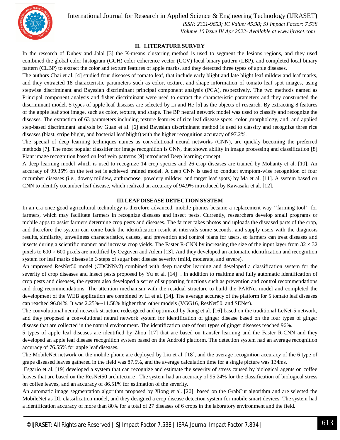International Journal for Research in Applied Science & Engineering Technology (IJRASET**)**



 *ISSN: 2321-9653; IC Value: 45.98; SJ Impact Factor: 7.538 Volume 10 Issue IV Apr 2022- Available at www.ijraset.com*

#### **II. LITERATURE SURVEY**

In the research of Dubey and Jalal [3] the K-means clustering method is used to segment the lesions regions, and they used combined the global color histogram (GCH) color coherence vector (CCV) local binary pattern (LBP), and completed local binary pattern (CLBP) to extract the color and texture features of apple marks, and they detected three types of apple diseases.

The authors Chai et al. [4] studied four diseases of tomato leaf, that include early blight and late blight leaf mildew and leaf marks, and they extracted 18 characteristic parameters such as color, texture, and shape information of tomato leaf spot images, using stepwise discriminant and Bayesian discriminant principal component analysis (PCA), respectively. The two methods named as Principal component analysis and fisher discriminant were used to extract the characteristic parameters and they constructed the discriminant model. 5 types of apple leaf diseases are selected by Li and He [5] as the objects of research. By extracting 8 features of the apple leaf spot image, such as color, texture, and shape. The BP neural network model was used to classify and recognize the diseases. The extraction of 63 parameters including texture features of rice leaf disease spots, color ,morphology, and, and applied step-based discriminant analysis by Guan et al. [6] and Bayesian discriminant method is used to classify and recognize three rice diseases (blast, stripe blight, and bacterial leaf blight) with the higher recognition accuracy of 97.2%.

The special of deep learning techniques names as convolutional neural networks (CNN), are quickly becoming the preferred methods [7]. The most popular classifier for image recognition is CNN, that shown ability in image processing and classification [8]. Plant image recognition based on leaf vein patterns [9] introduced Deep learning concept.

A deep learning model which is used to recognize 14 crop species and 26 crop diseases are trained by Mohanty et al. [10]. An accuracy of 99.35% on the test set is achieved trained model. A deep CNN is used to conduct symptom-wise recognition of four cucumber diseases (i.e., downy mildew, anthracnose, powdery mildew, and target leaf spots) by Ma et al. [11]. A system based on CNN to identify cucumber leaf disease, which realized an accuracy of 94.9% introduced by Kawasaki et al. [12].

#### **III.LEAF DISEASE DETECTION SYSTEM**

In an era once good agricultural technology is therefore advanced, mobile phones became a replacement way ''farming tool'' for farmers, which may facilitate farmers in recognize diseases and insect pests. Currently, researchers develop small programs or mobile apps to assist farmers determine crop pests and diseases. The farmer takes photos and uploads the diseased parts of the crop, and therefore the system can come back the identification result at intervals some seconds. and supply users with the diagnosis results, similarity, unwellness characteristics, causes, and prevention and control plans for users, so farmers can treat diseases and insects during a scientific manner and increase crop yields. The Faster R-CNN by increasing the size of the input layer from  $32 \times 32$ pixels to  $600 \times 600$  pixels are modified by Ozguven and Adem [13]. And they developed an automatic identification and recognition system for leaf marks disease in 3 steps of sugar beet disease severity (mild, moderate, and severe).

An improved ResNet50 model (CDCNNv2) combined with deep transfer learning and developed a classification system for the severity of crop diseases and insect pests proposed by Yu et al. [14] . In addition to realtime and fully automatic identification of crop pests and diseases, the system also developed a series of supporting functions such as prevention and control recommendations and drug recommendations. The attention mechanism with the residual structure to build the PARNet model and completed the development of the WEB application are combined by Li et al. [14]. The average accuracy of the platform for 5 tomato leaf diseases can reached 96.84%. It was 2.25%∼11.58% higher than other models (VGG16, ResNet50, and SENet).

The convolutional neural network structure redesigned and optimized by Jiang et al. [16] based on the traditional LeNet-5 network, and they proposed a convolutional neural network system for identification of ginger disease based on the four types of ginger disease that are collected in the natural environment. The identification rate of four types of ginger diseases reached 96%.

5 types of apple leaf diseases are identified by Zhou [17] that are based on transfer learning and the Faster R-CNN and they developed an apple leaf disease recognition system based on the Android platform. The detection system had an average recognition accuracy of 76.55% for apple leaf diseases.

The MobileNet network on the mobile phone are deployed by Liu et al. [18], and the average recognition accuracy of the 6 type of grape diseased leaves gathered in the field was 87.5%, and the average calculation time for a single picture was 134ms.

Esgario et al. [19] developed a system that can recognize and estimate the severity of stress caused by biological agents on coffee leaves that are based on the ResNet50 architecture . The system had an accuracy of 95.24% for the classification of biological stress on coffee leaves, and an accuracy of 86.51% for estimation of the severity.

An automatic image segmentation algorithm proposed by Xiong et al. [20] based on the GrabCut algorithm and are selected the MobileNet as DL classification model, and they designed a crop disease detection system for mobile smart devices. The system had a identification accuracy of more than 80% for a total of 27 diseases of 6 crops in the laboratory environment and the field.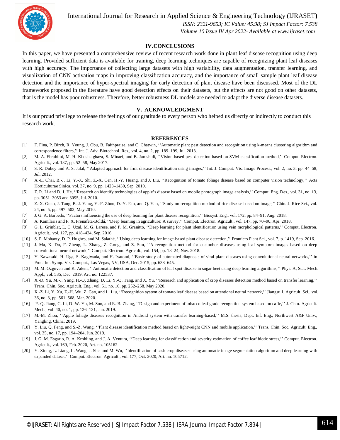

International Journal for Research in Applied Science & Engineering Technology (IJRASET**)**

 *ISSN: 2321-9653; IC Value: 45.98; SJ Impact Factor: 7.538 Volume 10 Issue IV Apr 2022- Available at www.ijraset.com*

#### **IV.CONCLUSIONS**

In this paper, we have presented a comprehensive review of recent research work done in plant leaf disease recognition using deep learning. Provided sufficient data is available for training, deep learning techniques are capable of recognizing plant leaf diseases with high accuracy. The importance of collecting large datasets with high variability, data augmentation, transfer learning, and visualization of CNN activation maps in improving classification accuracy, and the importance of small sample plant leaf disease detection and the importance of hyper-spectral imaging for early detection of plant disease have been discussed. Most of the DL frameworks proposed in the literature have good detection effects on their datasets, but the effects are not good on other datasets, that is the model has poor robustness. Therefore, better robustness DL models are needed to adapt the diverse disease datasets.

#### **V. ACKNOWLEDGMENT**

It is our proud privilege to release the feelings of our gratitude to every person who helped us directly or indirectly to conduct this research work.

#### **REFERENCES**

- [1] F. Fina, P. Birch, R. Young, J. Obu, B. Faithpraise, and C. Chatwin, ''Automatic plant pest detection and recognition using k-means clustering algorithm and correspondence filters,'' Int. J. Adv. Biotechnol. Res., vol. 4, no. 2, pp. 189–199, Jul. 2013.
- [2] M. A. Ebrahimi, M. H. Khoshtaghaza, S. Minaei, and B. Jamshidi, ''Vision-based pest detection based on SVM classification method,'' Comput. Electron. Agricult., vol. 137, pp. 52–58, May 2017.
- [3] S. R. Dubey and A. S. Jalal, ''Adapted approach for fruit disease identification using images,'' Int. J. Comput. Vis. Image Process., vol. 2, no. 3, pp. 44–58, Jul. 2012.
- [4] A.-L. Chai, B.-J. Li, Y.-X. Shi, Z.-X. Cen, H.-Y. Huang, and J. Liu, ''Recognition of tomato foliage disease based on computer vision technology,'' Acta Horticulturae Sinica, vol. 37, no. 9, pp. 1423–1430, Sep. 2010.
- [5] Z. R. Li and D. J. He, ''Research on identify technologies of apple's disease based on mobile photograph image analysis,'' Comput. Eng. Des., vol. 31, no. 13, pp. 3051–3053 and 3095, Jul. 2010.
- [6] Z.-X. Guan, J. Tang, B.-J. Yang, Y.-F. Zhou, D.-Y. Fan, and Q. Yao, ''Study on recognition method of rice disease based on image,'' Chin. J. Rice Sci., vol. 24, no. 5, pp. 497–502, May 2010.
- [7] J. G. A. Barbedo, ''Factors influencing the use of deep learning for plant disease recognition,'' Biosyst. Eng., vol. 172, pp. 84–91, Aug. 2018.
- [8] A. Kamilaris and F. X. Prenafeta-Boldú, ''Deep learning in agriculture: A survey,'' Comput. Electron. Agricult., vol. 147, pp. 70–90, Apr. 2018.
- [9] G. L. Grinblat, L. C. Uzal, M. G. Larese, and P. M. Granitto, ''Deep learning for plant identification using vein morphological patterns,'' Comput. Electron. Agricult., vol. 127, pp. 418–424, Sep. 2016.
- [10] S. P. Mohanty, D. P. Hughes, and M. Salathé, ''Using deep learning for image-based plant disease detection,'' Frontiers Plant Sci., vol. 7, p. 1419, Sep. 2016.
- [11] J. Ma, K. Du, F. Zheng, L. Zhang, Z. Gong, and Z. Sun, ''A recognition method for cucumber diseases using leaf symptom images based on deep convolutional neural network,'' Comput. Electron. Agricult., vol. 154, pp. 18–24, Nov. 2018.
- [12] Y. Kawasaki, H. Uga, S. Kagiwada, and H. Iyatomi, ''Basic study of automated diagnosis of viral plant diseases using convolutional neural networks,'' in Proc. Int. Symp. Vis. Comput., Las Vegas, NV, USA, Dec. 2015, pp. 638–645.
- [13] M. M. Ozguven and K. Adem, "Automatic detection and classification of leaf spot disease in sugar beet using deep learning algorithms," Phys. A, Stat. Mech. Appl., vol. 535, Dec. 2019, Art. no. 122537.
- [14] X.-D. Yu, M.-J. Yang, H.-Q. Zhang, D. Li, Y.-Q. Tang, and X. Yu, ''Research and application of crop diseases detection method based on transfer learning,'' Trans. Chin. Soc. Agricult. Eng., vol. 51, no. 10, pp. 252–258, May 2020.
- [15] X.-Z. Li, Y. Xu, Z.-H. Wu, Z. Gao, and L. Liu, ''Recognition system of tomato leaf disease based on attentional neural network,'' Jiangsu J. Agricult. Sci., vol. 36, no. 3, pp. 561–568, Mar. 2020.
- [16] F.-Q. Jiang, C. Li, D.-W. Yu, M. Sun, and E.-B. Zhang, "Design and experiment of tobacco leaf grade recognition system based on caffe," J. Chin. Agricult. Mech., vol. 40, no. 1, pp. 126–131, Jan. 2019.
- [17] M.-M. Zhou, "Apple foliage diseases recognition in Android system with transfer learning-based," M.S. thesis, Dept. Inf. Eng., Northwest A&F Univ., Yangling, China, 2019.
- [18] Y. Liu, Q. Feng, and S.-Z. Wang, ''Plant disease identification method based on lightweight CNN and mobile application,'' Trans. Chin. Soc. Agricult. Eng., vol. 35, no. 17, pp. 194–204, Jun. 2019.
- [19] J. G. M. Esgario, R. A. Krohling, and J. A. Ventura, ''Deep learning for classification and severity estimation of coffee leaf biotic stress,'' Comput. Electron. Agricult., vol. 169, Feb. 2020, Art. no. 105162.
- [20] Y. Xiong, L. Liang, L. Wang, J. She, and M. Wu, ''Identification of cash crop diseases using automatic image segmentation algorithm and deep learning with expanded dataset,'' Comput. Electron. Agricult., vol. 177, Oct. 2020, Art. no. 105712.